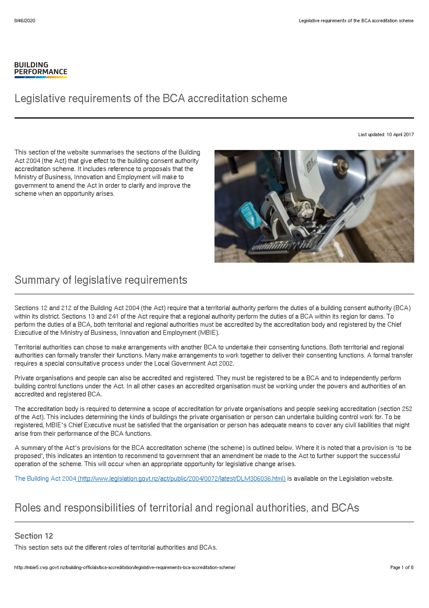#### **BUILDING PERFORMANCE**

# Legislative requirements of the BCA accreditation scheme

Last updated: 10 April 2017

This section of the website summarises the sections of the Building Act 2004 (the Act) that give effect to the building consent authority accreditation scheme. It includes reference to proposals that the Ministry of Business, Innovation and Employment will make to government to amend the Act in order to clarify and improve the scheme when an opportunity arises.

# Summary of legislative requirements

Sections 12 and 212 of the Building Act 2004 (the Act) require that a territorial authority perform the duties of a building consent authority (BCA) within its district. Sections 13 and 241 of the Act require that a regional authority perform the duties of a BCA within its region for dams. To perform the duties of a BCA, both territorial and regional authorities must be accredited by the accreditation body and registered by the Chief Executive of the Ministry of Business, Innovation and Employment (MBIE).

Territorial authorities can chose to make arrangements with another BCA to undertake their consenting functions. Both territorial and regional authorities can formally transfer their functions. Many make arrangements to work together to deliver their consenting functions. A formal transfer requires a special consultative process under the Local Government Act 2002.

Private organisations and people can also be accredited and registered. They must be registered to be a BCA and to independently perform building control functions under the Act. In all other cases an accredited organisation must be working under the powers and authorities of an accredited and registered BCA.

The accreditation body is required to determine a scope of accreditation for private organisations and people seeking accreditation (section 252 of the Act). This includes determining the kinds of buildings the private organisation or person can undertake building control work for. To be registered, MBIE's Chief Executive must be satisfied that the organisation or person has adequate means to cover any civil liabilities that might arise from their performance of the BCA functions.

A summary of the Act's provisions for the BCA accreditation scheme (the scheme) is outlined below. Where it is noted that a provision is 'to be proposed', this indicates an intention to recommend to government that an amendment be made to the Act to further support the successful operation of the scheme. This will occur when an appropriate opportunity for legislative change arises.

The Building Act 2004 [\(http://www.legislation.govt.nz/act/public/2004/0072/latest/DLM306036.html\)](http://www.legislation.govt.nz/act/public/2004/0072/latest/DLM306036.html) is available on the Legislation website.

## Roles and responsibilities of territorial and regional authorities, and BCAs

#### Section 12

This section sets out the different roles of territorial authorities and BCAs.

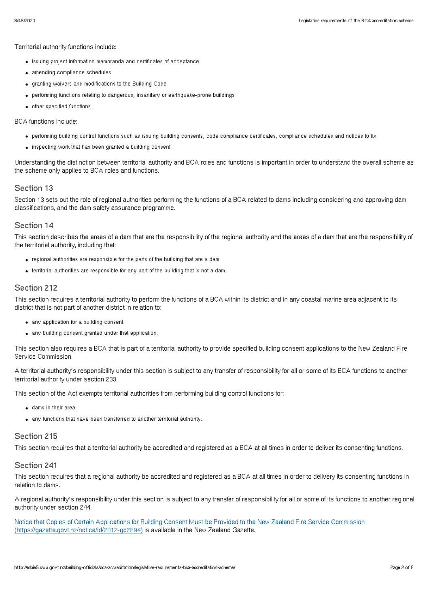Territorial authority functions include:

- issuing project information memoranda and certificates of acceptance
- amending compliance schedules
- granting waivers and modifications to the Building Code
- performing functions relating to dangerous, insanitary or earthquake-prone buildings
- other specified functions.

#### BCA functions include:

- performing building control functions such as issuing building consents, code compliance certificates, compliance schedules and notices to fix
- inspecting work that has been granted a building consent.

Understanding the distinction between territorial authority and BCA roles and functions is important in order to understand the overall scheme as the scheme only applies to BCA roles and functions.

#### Section 13

Section 13 sets out the role of regional authorities performing the functions of a BCA related to dams including considering and approving dam classifications, and the dam safety assurance programme.

#### Section 14

This section describes the areas of a dam that are the responsibility of the regional authority and the areas of a dam that are the responsibility of the territorial authority, including that:

- regional authorities are responsible for the parts of the building that are a dam
- territorial authorities are responsible for any part of the building that is not a dam.

#### Section 212

This section requires a territorial authority to perform the functions of a BCA within its district and in any coastal marine area adjacent to its district that is not part of another district in relation to:

- any application for a building consent
- any building consent granted under that application.

This section also requires a BCA that is part of a territorial authority to provide specified building consent applications to the New Zealand Fire Service Commission.

A territorial authority's responsibility under this section is subject to any transfer of responsibility for all or some of its BCA functions to another territorial authority under section 233.

This section of the Act exempts territorial authorities from performing building control functions for:

- dams in their area
- any functions that have been transferred to another territorial authority.

#### Section 215

This section requires that a territorial authority be accredited and registered as a BCA at all times in order to deliver its consenting functions.

#### Section 241

This section requires that a regional authority be accredited and registered as a BCA at all times in order to delivery its consenting functions in relation to dams.

A regional authority's responsibility under this section is subject to any transfer of responsibility for all or some of its functions to another regional authority under section 244.

Notice that Copies of Certain Applications for Building Consent Must be Provided to the New Zealand Fire Service Commission [\(https://gazette.govt.nz/notice/id/2012-go2694\)](https://gazette.govt.nz/notice/id/2012-go2694) is available in the New Zealand Gazette.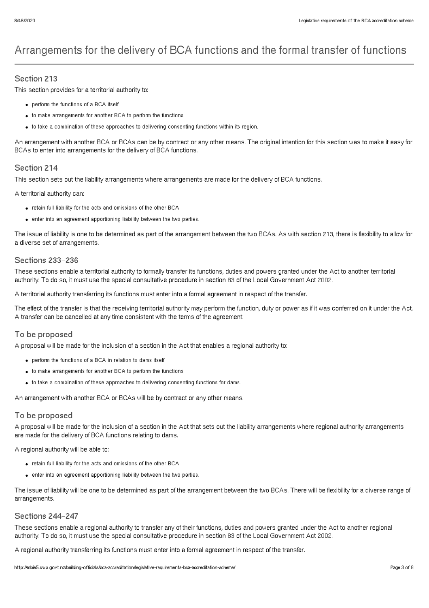# Arrangements for the delivery of BCA functions and the formal transfer of functions

#### Section 213

This section provides for a territorial authority to:

- perform the functions of a BCA itself
- to make arrangements for another BCA to perform the functions
- to take a combination of these approaches to delivering consenting functions within its region.

An arrangement with another BCA or BCAs can be by contract or any other means. The original intention for this section was to make it easy for BCAs to enter into arrangements for the delivery of BCA functions.

#### Section 214

This section sets out the liability arrangements where arrangements are made for the delivery of BCA functions.

A territorial authority can:

- retain full liability for the acts and omissions of the other BCA
- enter into an agreement apportioning liability between the two parties.

The issue of liability is one to be determined as part of the arrangement between the two BCAs. As with section 213, there is flexibility to allow for a diverse set of arrangements.

#### Sections 233–236

These sections enable a territorial authority to formally transfer its functions, duties and powers granted under the Act to another territorial authority. To do so, it must use the special consultative procedure in section 83 of the Local Government Act 2002.

A territorial authority transferring its functions must enter into a formal agreement in respect of the transfer.

The effect of the transfer is that the receiving territorial authority may perform the function, duty or power as if it was conferred on it under the Act. A transfer can be cancelled at any time consistent with the terms of the agreement.

#### To be proposed

A proposal will be made for the inclusion of a section in the Act that enables a regional authority to:

- perform the functions of a BCA in relation to dams itself
- to make arrangements for another BCA to perform the functions
- to take a combination of these approaches to delivering consenting functions for dams.

An arrangement with another BCA or BCAs will be by contract or any other means.

#### To be proposed

A proposal will be made for the inclusion of a section in the Act that sets out the liability arrangements where regional authority arrangements are made for the delivery of BCA functions relating to dams.

A regional authority will be able to:

- retain full liability for the acts and omissions of the other BCA
- enter into an agreement apportioning liability between the two parties.

The issue of liability will be one to be determined as part of the arrangement between the two BCAs. There will be flexibility for a diverse range of arrangements.

#### Sections 244–247

These sections enable a regional authority to transfer any of their functions, duties and powers granted under the Act to another regional authority. To do so, it must use the special consultative procedure in section 83 of the Local Government Act 2002.

A regional authority transferring its functions must enter into a formal agreement in respect of the transfer.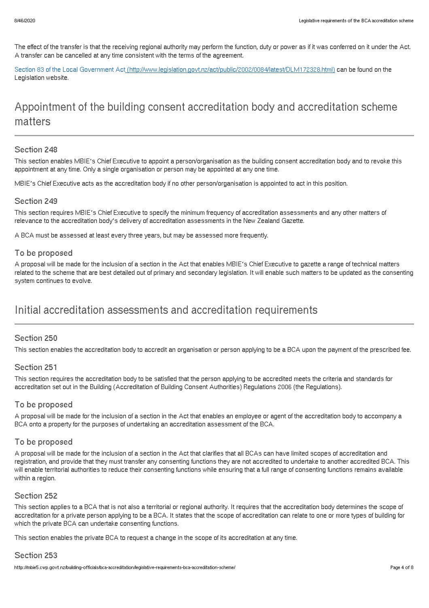The effect of the transfer is that the receiving regional authority may perform the function, duty or power as if it was conferred on it under the Act. A transfer can be cancelled at any time consistent with the terms of the agreement.

Section 83 of the Local Government Act [\(http://www.legislation.govt.nz/act/public/2002/0084/latest/DLM172328.html\)](http://www.legislation.govt.nz/act/public/2002/0084/latest/DLM172328.html) can be found on the Legislation website.

# Appointment of the building consent accreditation body and accreditation scheme matters

#### Section 248

This section enables MBIE's Chief Executive to appoint a person/organisation as the building consent accreditation body and to revoke this appointment at any time. Only a single organisation or person may be appointed at any one time.

MBIE's Chief Executive acts as the accreditation body if no other person/organisation is appointed to act in this position.

#### Section 249

This section requires MBIE's Chief Executive to specify the minimum frequency of accreditation assessments and any other matters of relevance to the accreditation body's delivery of accreditation assessments in the New Zealand Gazette.

A BCA must be assessed at least every three years, but may be assessed more frequently.

#### To be proposed

A proposal will be made for the inclusion of a section in the Act that enables MBIE's Chief Executive to gazette a range of technical matters related to the scheme that are best detailed out of primary and secondary legislation. It will enable such matters to be updated as the consenting system continues to evolve.

# Initial accreditation assessments and accreditation requirements

#### Section 250

This section enables the accreditation body to accredit an organisation or person applying to be a BCA upon the payment of the prescribed fee.

#### Section 251

This section requires the accreditation body to be satisfied that the person applying to be accredited meets the criteria and standards for accreditation set out in the Building (Accreditation of Building Consent Authorities) Regulations 2006 (the Regulations).

#### To be proposed

A proposal will be made for the inclusion of a section in the Act that enables an employee or agent of the accreditation body to accompany a BCA onto a property for the purposes of undertaking an accreditation assessment of the BCA.

#### To be proposed

A proposal will be made for the inclusion of a section in the Act that clarifies that all BCAs can have limited scopes of accreditation and registration, and provide that they must transfer any consenting functions they are not accredited to undertake to another accredited BCA. This will enable territorial authorities to reduce their consenting functions while ensuring that a full range of consenting functions remains available within a region.

#### Section 252

This section applies to a BCA that is not also a territorial or regional authority. It requires that the accreditation body determines the scope of accreditation for a private person applying to be a BCA. It states that the scope of accreditation can relate to one or more types of building for which the private BCA can undertake consenting functions.

This section enables the private BCA to request a change in the scope of its accreditation at any time.

#### Section 253

http://mbie5.cwp.govt.nz/building-officials/bca-accreditation/legislative-requirements-bca-accreditation-scheme/ Page 4 of 8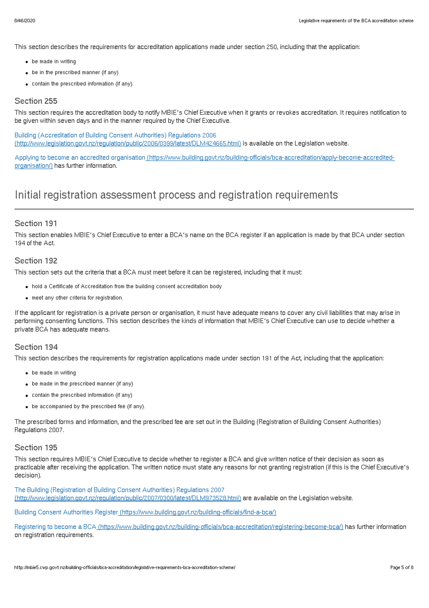This section describes the requirements for accreditation applications made under section 250, including that the application:

- be made in writing
- be in the prescribed manner (if any)
- contain the prescribed information (if any).

#### Section 255

This section requires the accreditation body to notify MBIE's Chief Executive when it grants or revokes accreditation. It requires notification to be given within seven days and in the manner required by the Chief Executive.

Building (Accreditation of Building Consent Authorities) Regulations 2006 [\(http://www.legislation.govt.nz/regulation/public/2006/0399/latest/DLM424665.html\)](http://www.legislation.govt.nz/regulation/public/2006/0399/latest/DLM424665.html) is available on the Legislation website.

Applying to become an accredited organisation [\(https://www.building.govt.nz/building-officials/bca-accreditation/apply-become-accredited](http://mbie5.cwp.govt.nz/building-officials/bca-accreditation/apply-become-accredited-organisation/)organisation/) has further information.

## Initial registration assessment process and registration requirements

#### Section 191

This section enables MBIE's Chief Executive to enter a BCA's name on the BCA register if an application is made by that BCA under section 194 of the Act.

#### Section 192

This section sets out the criteria that a BCA must meet before it can be registered, including that it must:

- hold a Certificate of Accreditation from the building consent accreditation body
- $\bullet$  meet any other criteria for registration.

If the applicant for registration is a private person or organisation, it must have adequate means to cover any civil liabilities that may arise in performing consenting functions. This section describes the kinds of information that MBIE's Chief Executive can use to decide whether a private BCA has adequate means.

#### Section 194

This section describes the requirements for registration applications made under section 191 of the Act, including that the application:

- be made in writing
- be made in the prescribed manner (if any)
- contain the prescribed information (if any)
- be accompanied by the prescribed fee (if any).

The prescribed forms and information, and the prescribed fee are set out in the Building (Registration of Building Consent Authorities) Regulations 2007.

#### Section 195

This section requires MBIE's Chief Executive to decide whether to register a BCA and give written notice of their decision as soon as practicable after receiving the application. The written notice must state any reasons for not granting registration (if this is the Chief Executive's decision).

The Building (Registration of Building Consent Authorities) Regulations 2007 [\(http://www.legislation.govt.nz/regulation/public/2007/0300/latest/DLM973528.html\)](http://www.legislation.govt.nz/regulation/public/2007/0300/latest/DLM973528.html) are available on the Legislation website.

Building Consent Authorities Register [\(https://www.building.govt.nz/building-officials/find-a-bca/\)](http://mbie5.cwp.govt.nz/building-officials/find-a-bca/)

Registering to become a BCA [\(https://www.building.govt.nz/building-officials/bca-accreditation/registering-become-bca/\)](http://mbie5.cwp.govt.nz/building-officials/bca-accreditation/registering-become-bca/) has further information on registration requirements.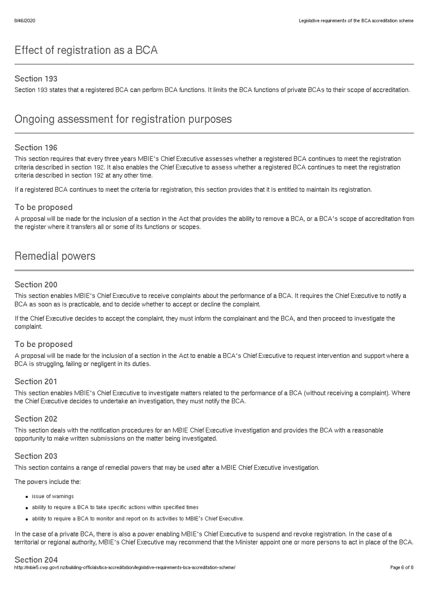# Effect of registration as a BCA

#### Section 193

Section 193 states that a registered BCA can perform BCA functions. It limits the BCA functions of private BCAs to their scope of accreditation.

### Ongoing assessment for registration purposes

#### Section 196

This section requires that every three years MBIE's Chief Executive assesses whether a registered BCA continues to meet the registration criteria described in section 192. It also enables the Chief Executive to assess whether a registered BCA continues to meet the registration criteria described in section 192 at any other time.

If a registered BCA continues to meet the criteria for registration, this section provides that it is entitled to maintain its registration.

#### To be proposed

A proposal will be made for the inclusion of a section in the Act that provides the ability to remove a BCA, or a BCA's scope of accreditation from the register where it transfers all or some of its functions or scopes.

## Remedial powers

#### Section 200

This section enables MBIE's Chief Executive to receive complaints about the performance of a BCA. It requires the Chief Executive to notify a BCA as soon as is practicable, and to decide whether to accept or decline the complaint.

If the Chief Executive decides to accept the complaint, they must inform the complainant and the BCA, and then proceed to investigate the complaint.

#### To be proposed

A proposal will be made for the inclusion of a section in the Act to enable a BCA's Chief Executive to request intervention and support where a BCA is struggling, failing or negligent in its duties.

#### Section 201

This section enables MBIE's Chief Executive to investigate matters related to the performance of a BCA (without receiving a complaint). Where the Chief Executive decides to undertake an investigation, they must notify the BCA.

#### Section 202

This section deals with the notification procedures for an MBIE Chief Executive investigation and provides the BCA with a reasonable opportunity to make written submissions on the matter being investigated.

#### Section 203

This section contains a range of remedial powers that may be used after a MBIE Chief Executive investigation.

The powers include the:

- issue of warnings
- ability to require a BCA to take specific actions within specified times
- ability to require a BCA to monitor and report on its activities to MBIE's Chief Executive.

In the case of a private BCA, there is also a power enabling MBIE's Chief Executive to suspend and revoke registration. In the case of a territorial or regional authority, MBIE's Chief Executive may recommend that the Minister appoint one or more persons to act in place of the BCA.

#### Section 204

http://mbie5.cwp.govt.nz/building-officials/bca-accreditation/legislative-requirements-bca-accreditation-scheme/ Page 6 of 8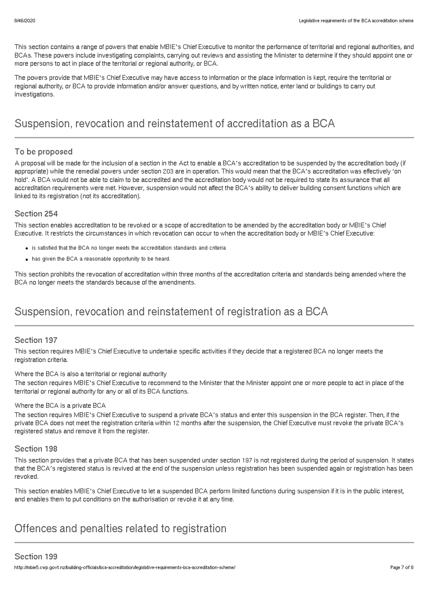This section contains a range of powers that enable MBIE's Chief Executive to monitor the performance of territorial and regional authorities, and BCAs. These powers include investigating complaints, carrying out reviews and assisting the Minister to determine if they should appoint one or more persons to act in place of the territorial or regional authority, or BCA.

The powers provide that MBIE's Chief Executive may have access to information or the place information is kept, require the territorial or regional authority, or BCA to provide information and/or answer questions, and by written notice, enter land or buildings to carry out investigations.

# Suspension, revocation and reinstatement of accreditation as a BCA

#### To be proposed

A proposal will be made for the inclusion of a section in the Act to enable a BCA's accreditation to be suspended by the accreditation body (if appropriate) while the remedial powers under section 203 are in operation. This would mean that the BCA's accreditation was effectively 'on hold'. A BCA would not be able to claim to be accredited and the accreditation body would not be required to state its assurance that all accreditation requirements were met. However, suspension would not affect the BCA's ability to deliver building consent functions which are linked to its registration (not its accreditation).

#### Section 254

This section enables accreditation to be revoked or a scope of accreditation to be amended by the accreditation body or MBIE's Chief Executive. It restricts the circumstances in which revocation can occur to when the accreditation body or MBIE's Chief Executive:

- is satisfied that the BCA no longer meets the accreditation standards and criteria
- has given the BCA a reasonable opportunity to be heard.

This section prohibits the revocation of accreditation within three months of the accreditation criteria and standards being amended where the BCA no longer meets the standards because of the amendments.

# Suspension, revocation and reinstatement of registration as a BCA

#### Section 197

This section requires MBIE's Chief Executive to undertake specific activities if they decide that a registered BCA no longer meets the registration criteria.

#### Where the BCA is also a territorial or regional authority

The section requires MBIE's Chief Executive to recommend to the Minister that the Minister appoint one or more people to act in place of the territorial or regional authority for any or all of its BCA functions.

#### Where the BCA is a private BCA

The section requires MBIE's Chief Executive to suspend a private BCA's status and enter this suspension in the BCA register. Then, if the private BCA does not meet the registration criteria within 12 months after the suspension, the Chief Executive must revoke the private BCA's registered status and remove it from the register.

#### Section 198

This section provides that a private BCA that has been suspended under section 197 is not registered during the period of suspension. It states that the BCA's registered status is revived at the end of the suspension unless registration has been suspended again or registration has been revoked.

This section enables MBIE's Chief Executive to let a suspended BCA perform limited functions during suspension if it is in the public interest, and enables them to put conditions on the authorisation or revoke it at any time.

# Offences and penalties related to registration